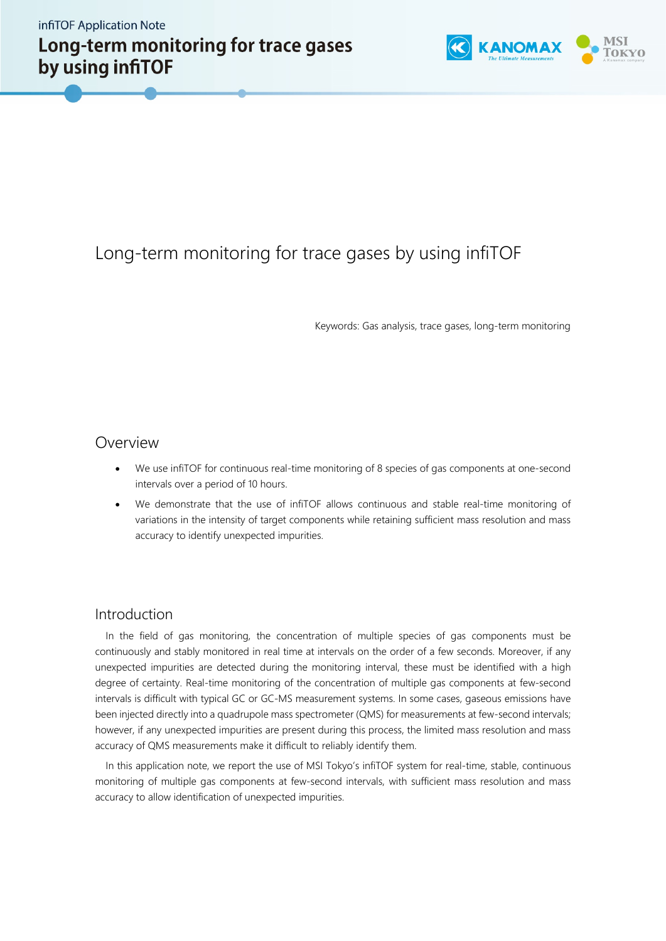

# Long-term monitoring for trace gases by using infiTOF

Keywords: Gas analysis, trace gases, long-term monitoring

### Overview

- We use infiTOF for continuous real-time monitoring of 8 species of gas components at one-second intervals over a period of 10 hours.
- We demonstrate that the use of infiTOF allows continuous and stable real-time monitoring of variations in the intensity of target components while retaining sufficient mass resolution and mass accuracy to identify unexpected impurities.

#### Introduction

In the field of gas monitoring, the concentration of multiple species of gas components must be continuously and stably monitored in real time at intervals on the order of a few seconds. Moreover, if any unexpected impurities are detected during the monitoring interval, these must be identified with a high degree of certainty. Real-time monitoring of the concentration of multiple gas components at few-second intervals is difficult with typical GC or GC-MS measurement systems. In some cases, gaseous emissions have been injected directly into a quadrupole mass spectrometer (QMS) for measurements at few-second intervals; however, if any unexpected impurities are present during this process, the limited mass resolution and mass accuracy of QMS measurements make it difficult to reliably identify them.

In this application note, we report the use of MSI Tokyo's infiTOF system for real-time, stable, continuous monitoring of multiple gas components at few-second intervals, with sufficient mass resolution and mass accuracy to allow identification of unexpected impurities.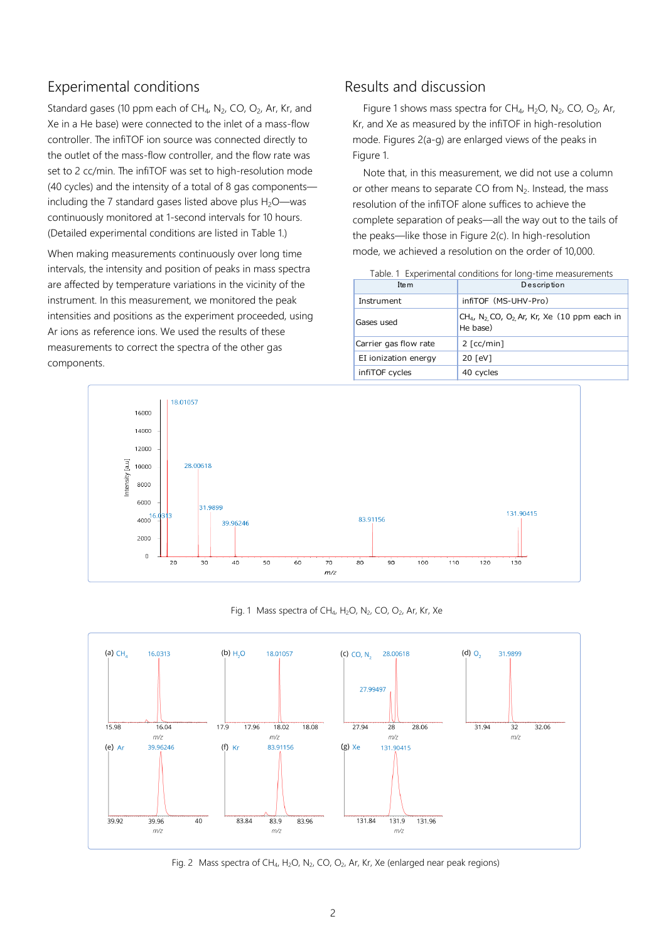# Experimental conditions

Standard gases (10 ppm each of  $CH_4$ , N<sub>2</sub>, CO, O<sub>2</sub>, Ar, Kr, and Xe in a He base) were connected to the inlet of a mass-flow controller. The infiTOF ion source was connected directly to the outlet of the mass-flow controller, and the flow rate was set to 2 cc/min. The infiTOF was set to high-resolution mode (40 cycles) and the intensity of a total of 8 gas components including the 7 standard gases listed above plus  $H_2O$ —was continuously monitored at 1-second intervals for 10 hours. (Detailed experimental conditions are listed in Table 1.)

When making measurements continuously over long time intervals, the intensity and position of peaks in mass spectra are affected by temperature variations in the vicinity of the instrument. In this measurement, we monitored the peak intensities and positions as the experiment proceeded, using Ar ions as reference ions. We used the results of these measurements to correct the spectra of the other gas components.

# Results and discussion

Figure 1 shows mass spectra for  $CH_4$ , H<sub>2</sub>O, N<sub>2</sub>, CO, O<sub>2</sub>, Ar, Kr, and Xe as measured by the infiTOF in high-resolution mode. Figures 2(a-g) are enlarged views of the peaks in Figure 1.

Note that, in this measurement, we did not use a column or other means to separate CO from N<sub>2</sub>. Instead, the mass resolution of the infiTOF alone suffices to achieve the complete separation of peaks—all the way out to the tails of the peaks—like those in Figure 2(c). In high-resolution mode, we achieved a resolution on the order of 10,000.

| Ite <sub>m</sub>      | Description                                                                             |  |
|-----------------------|-----------------------------------------------------------------------------------------|--|
| Instrument            | infitor (MS-UHV-Pro)                                                                    |  |
| Gases used            | $CH_{4}$ , N <sub>2</sub> , CO, O <sub>2</sub> , Ar, Kr, Xe (10 ppm each in<br>He base) |  |
| Carrier gas flow rate | $2$ [cc/min]                                                                            |  |
| EI ionization energy  | 20 [eV]                                                                                 |  |
| infiTOF cycles        | 40 cycles                                                                               |  |

Table. 1 Experimental conditions for long-time measurements





#### Fig. 1 Mass spectra of CH<sub>4</sub>, H<sub>2</sub>O, N<sub>2</sub>, CO, O<sub>2</sub>, Ar, Kr, Xe



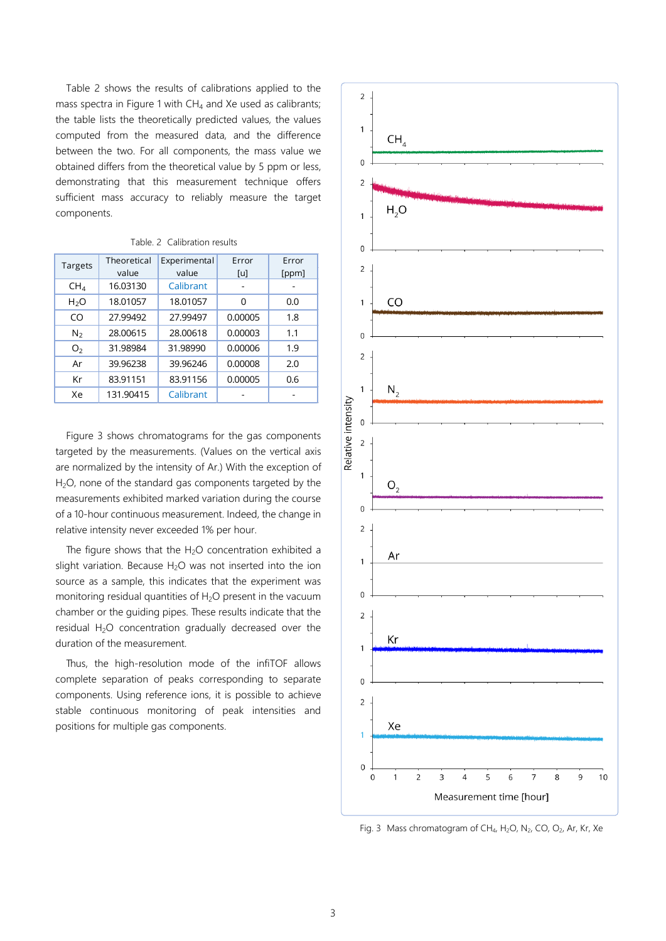Table 2 shows the results of calibrations applied to the mass spectra in Figure 1 with  $CH<sub>4</sub>$  and Xe used as calibrants; the table lists the theoretically predicted values, the values computed from the measured data, and the difference between the two. For all components, the mass value we obtained differs from the theoretical value by 5 ppm or less, demonstrating that this measurement technique offers sufficient mass accuracy to reliably measure the target components.

| Targets          | Theoretical<br>value | Experimental<br>value | Error<br>[u] | Error<br>[ppm] |  |
|------------------|----------------------|-----------------------|--------------|----------------|--|
| CH <sub>4</sub>  | 16.03130             | Calibrant             |              |                |  |
| H <sub>2</sub> O | 18.01057             | 18.01057              | $\Omega$     | 0.0            |  |
| CO               | 27.99492             | 27.99497              | 0.00005      | 1.8            |  |
| N <sub>2</sub>   | 28.00615             | 28.00618              | 0.00003      | 1.1            |  |
| O <sub>2</sub>   | 31.98984             | 31.98990              | 0.00006      | 1.9            |  |
| Ar               | 39.96238             | 39.96246              | 0.00008      | 2.0            |  |
| Kr               | 83.91151             | 83.91156              | 0.00005      | 0.6            |  |
| Xe               | 131.90415            | Calibrant             |              |                |  |

|  |  |  | Table, 2 Calibration results |  |
|--|--|--|------------------------------|--|
|--|--|--|------------------------------|--|

Figure 3 shows chromatograms for the gas components targeted by the measurements. (Values on the vertical axis are normalized by the intensity of Ar.) With the exception of H2O, none of the standard gas components targeted by the measurements exhibited marked variation during the course of a 10-hour continuous measurement. Indeed, the change in relative intensity never exceeded 1% per hour.

The figure shows that the H<sub>2</sub>O concentration exhibited a slight variation. Because  $H<sub>2</sub>O$  was not inserted into the ion source as a sample, this indicates that the experiment was monitoring residual quantities of  $H_2O$  present in the vacuum chamber or the guiding pipes. These results indicate that the residual H<sub>2</sub>O concentration gradually decreased over the duration of the measurement.

Thus, the high-resolution mode of the infiTOF allows complete separation of peaks corresponding to separate components. Using reference ions, it is possible to achieve stable continuous monitoring of peak intensities and positions for multiple gas components.



Fig. 3 Mass chromatogram of CH<sub>4</sub>, H<sub>2</sub>O, N<sub>2</sub>, CO, O<sub>2</sub>, Ar, Kr, Xe